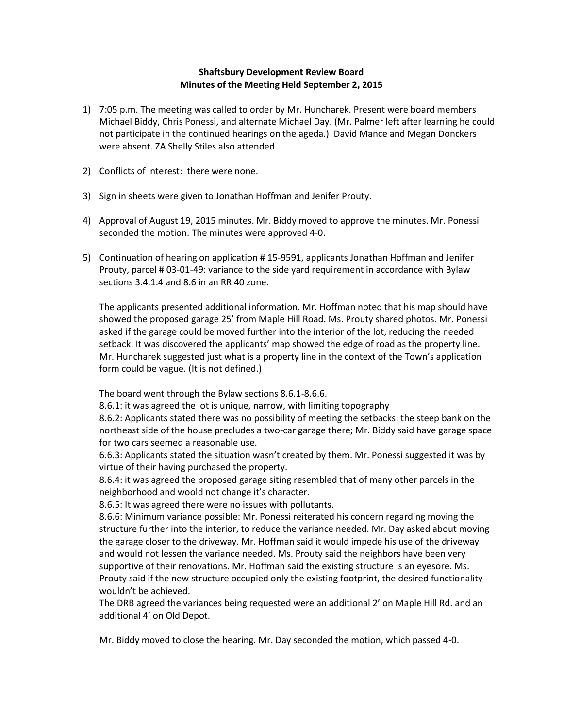## **Shaftsbury Development Review Board Minutes of the Meeting Held September 2, 2015**

- 1) 7:05 p.m. The meeting was called to order by Mr. Huncharek. Present were board members Michael Biddy, Chris Ponessi, and alternate Michael Day. (Mr. Palmer left after learning he could not participate in the continued hearings on the ageda.) David Mance and Megan Donckers were absent. ZA Shelly Stiles also attended.
- 2) Conflicts of interest: there were none.
- 3) Sign in sheets were given to Jonathan Hoffman and Jenifer Prouty.
- 4) Approval of August 19, 2015 minutes. Mr. Biddy moved to approve the minutes. Mr. Ponessi seconded the motion. The minutes were approved 4-0.
- 5) Continuation of hearing on application # 15-9591, applicants Jonathan Hoffman and Jenifer Prouty, parcel # 03-01-49: variance to the side yard requirement in accordance with Bylaw sections 3.4.1.4 and 8.6 in an RR 40 zone.

The applicants presented additional information. Mr. Hoffman noted that his map should have showed the proposed garage 25' from Maple Hill Road. Ms. Prouty shared photos. Mr. Ponessi asked if the garage could be moved further into the interior of the lot, reducing the needed setback. It was discovered the applicants' map showed the edge of road as the property line. Mr. Huncharek suggested just what is a property line in the context of the Town's application form could be vague. (It is not defined.)

The board went through the Bylaw sections 8.6.1-8.6.6.

8.6.1: it was agreed the lot is unique, narrow, with limiting topography

8.6.2: Applicants stated there was no possibility of meeting the setbacks: the steep bank on the northeast side of the house precludes a two-car garage there; Mr. Biddy said have garage space for two cars seemed a reasonable use.

6.6.3: Applicants stated the situation wasn't created by them. Mr. Ponessi suggested it was by virtue of their having purchased the property.

8.6.4: it was agreed the proposed garage siting resembled that of many other parcels in the neighborhood and woold not change it's character.

8.6.5: It was agreed there were no issues with pollutants.

8.6.6: Minimum variance possible: Mr. Ponessi reiterated his concern regarding moving the structure further into the interior, to reduce the variance needed. Mr. Day asked about moving the garage closer to the driveway. Mr. Hoffman said it would impede his use of the driveway and would not lessen the variance needed. Ms. Prouty said the neighbors have been very supportive of their renovations. Mr. Hoffman said the existing structure is an eyesore. Ms. Prouty said if the new structure occupied only the existing footprint, the desired functionality wouldn't be achieved.

The DRB agreed the variances being requested were an additional 2' on Maple Hill Rd. and an additional 4' on Old Depot.

Mr. Biddy moved to close the hearing. Mr. Day seconded the motion, which passed 4-0.